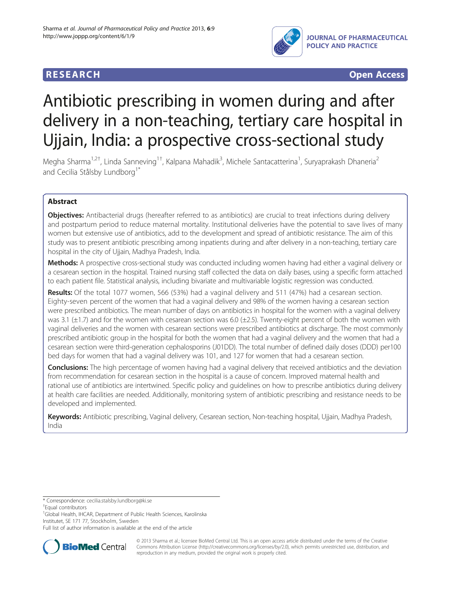# **RESEARCH RESEARCH** *CHECK CHECK CHECK CHECK CHECK CHECK CHECK CHECK CHECK CHECK CHECK CHECK CHECK CHECK CHECK CHECK CHECK CHECK CHECK CHECK CHECK CHECK CHECK CHECK CHECK CHECK CHECK CHECK CHECK CHECK CHECK CHECK CHECK*



# Antibiotic prescribing in women during and after delivery in a non-teaching, tertiary care hospital in Ujjain, India: a prospective cross-sectional study

Megha Sharma<sup>1,2†</sup>, Linda Sanneving<sup>1†</sup>, Kalpana Mahadik<sup>3</sup>, Michele Santacatterina<sup>1</sup>, Suryaprakash Dhaneria<sup>2</sup> and Cecilia Stålsby Lundborg<sup>1\*</sup>

# Abstract

Objectives: Antibacterial drugs (hereafter referred to as antibiotics) are crucial to treat infections during delivery and postpartum period to reduce maternal mortality. Institutional deliveries have the potential to save lives of many women but extensive use of antibiotics, add to the development and spread of antibiotic resistance. The aim of this study was to present antibiotic prescribing among inpatients during and after delivery in a non-teaching, tertiary care hospital in the city of Ujjain, Madhya Pradesh, India.

Methods: A prospective cross-sectional study was conducted including women having had either a vaginal delivery or a cesarean section in the hospital. Trained nursing staff collected the data on daily bases, using a specific form attached to each patient file. Statistical analysis, including bivariate and multivariable logistic regression was conducted.

Results: Of the total 1077 women, 566 (53%) had a vaginal delivery and 511 (47%) had a cesarean section. Eighty-seven percent of the women that had a vaginal delivery and 98% of the women having a cesarean section were prescribed antibiotics. The mean number of days on antibiotics in hospital for the women with a vaginal delivery was 3.1 (±1.7) and for the women with cesarean section was 6.0 (±2.5). Twenty-eight percent of both the women with vaginal deliveries and the women with cesarean sections were prescribed antibiotics at discharge. The most commonly prescribed antibiotic group in the hospital for both the women that had a vaginal delivery and the women that had a cesarean section were third-generation cephalosporins (J01DD). The total number of defined daily doses (DDD) per100 bed days for women that had a vaginal delivery was 101, and 127 for women that had a cesarean section.

Conclusions: The high percentage of women having had a vaginal delivery that received antibiotics and the deviation from recommendation for cesarean section in the hospital is a cause of concern. Improved maternal health and rational use of antibiotics are intertwined. Specific policy and guidelines on how to prescribe antibiotics during delivery at health care facilities are needed. Additionally, monitoring system of antibiotic prescribing and resistance needs to be developed and implemented.

Keywords: Antibiotic prescribing, Vaginal delivery, Cesarean section, Non-teaching hospital, Ujjain, Madhya Pradesh, India

\* Correspondence: [cecilia.stalsby.lundborg@ki.se](mailto:cecilia.stalsby.lundborg@ki.se) †

Equal contributors

<sup>1</sup>Global Health, IHCAR, Department of Public Health Sciences, Karolinska Institutet, SE 171 77, Stockholm, Sweden

Full list of author information is available at the end of the article



© 2013 Sharma et al.; licensee BioMed Central Ltd. This is an open access article distributed under the terms of the Creative Commons Attribution License [\(http://creativecommons.org/licenses/by/2.0\)](http://creativecommons.org/licenses/by/2.0), which permits unrestricted use, distribution, and reproduction in any medium, provided the original work is properly cited.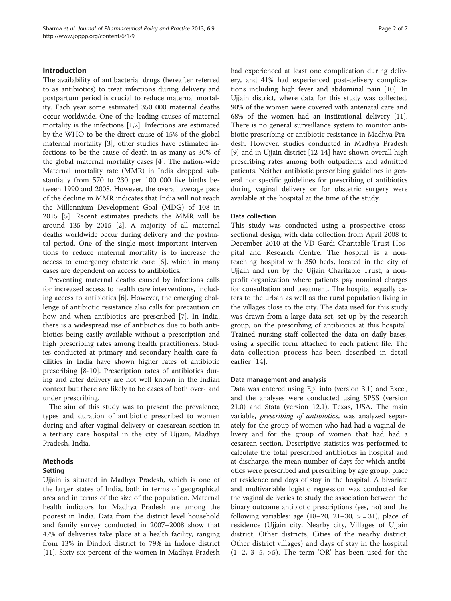## Introduction

The availability of antibacterial drugs (hereafter referred to as antibiotics) to treat infections during delivery and postpartum period is crucial to reduce maternal mortality. Each year some estimated 350 000 maternal deaths occur worldwide. One of the leading causes of maternal mortality is the infections [\[1](#page-5-0)[,2](#page-6-0)]. Infections are estimated by the WHO to be the direct cause of 15% of the global maternal mortality [\[3](#page-6-0)], other studies have estimated infections to be the cause of death in as many as 30% of the global maternal mortality cases [[4\]](#page-6-0). The nation-wide Maternal mortality rate (MMR) in India dropped substantially from 570 to 230 per 100 000 live births between 1990 and 2008. However, the overall average pace of the decline in MMR indicates that India will not reach the Millennium Development Goal (MDG) of 108 in 2015 [[5\]](#page-6-0). Recent estimates predicts the MMR will be around 135 by 2015 [\[2](#page-6-0)]. A majority of all maternal deaths worldwide occur during delivery and the postnatal period. One of the single most important interventions to reduce maternal mortality is to increase the access to emergency obstetric care [\[6\]](#page-6-0), which in many cases are dependent on access to antibiotics.

Preventing maternal deaths caused by infections calls for increased access to health care interventions, including access to antibiotics [[6\]](#page-6-0). However, the emerging challenge of antibiotic resistance also calls for precaution on how and when antibiotics are prescribed [\[7](#page-6-0)]. In India, there is a widespread use of antibiotics due to both antibiotics being easily available without a prescription and high prescribing rates among health practitioners. Studies conducted at primary and secondary health care facilities in India have shown higher rates of antibiotic prescribing [[8](#page-6-0)-[10\]](#page-6-0). Prescription rates of antibiotics during and after delivery are not well known in the Indian context but there are likely to be cases of both over- and under prescribing.

The aim of this study was to present the prevalence, types and duration of antibiotic prescribed to women during and after vaginal delivery or caesarean section in a tertiary care hospital in the city of Ujjain, Madhya Pradesh, India.

#### Methods

#### Setting

Ujjain is situated in Madhya Pradesh, which is one of the larger states of India, both in terms of geographical area and in terms of the size of the population. Maternal health indictors for Madhya Pradesh are among the poorest in India. Data from the district level household and family survey conducted in 2007–2008 show that 47% of deliveries take place at a health facility, ranging from 13% in Dindori district to 79% in Indore district [[11\]](#page-6-0). Sixty-six percent of the women in Madhya Pradesh had experienced at least one complication during delivery, and 41% had experienced post-delivery complications including high fever and abdominal pain [\[10](#page-6-0)]. In Ujjain district, where data for this study was collected, 90% of the women were covered with antenatal care and 68% of the women had an institutional delivery [\[11](#page-6-0)]. There is no general surveillance system to monitor antibiotic prescribing or antibiotic resistance in Madhya Pradesh. However, studies conducted in Madhya Pradesh [[9\]](#page-6-0) and in Ujjain district [\[12-14](#page-6-0)] have shown overall high prescribing rates among both outpatients and admitted patients. Neither antibiotic prescribing guidelines in general nor specific guidelines for prescribing of antibiotics during vaginal delivery or for obstetric surgery were available at the hospital at the time of the study.

#### Data collection

This study was conducted using a prospective crosssectional design, with data collection from April 2008 to December 2010 at the VD Gardi Charitable Trust Hospital and Research Centre. The hospital is a nonteaching hospital with 350 beds, located in the city of Ujjain and run by the Ujjain Charitable Trust, a nonprofit organization where patients pay nominal charges for consultation and treatment. The hospital equally caters to the urban as well as the rural population living in the villages close to the city. The data used for this study was drawn from a large data set, set up by the research group, on the prescribing of antibiotics at this hospital. Trained nursing staff collected the data on daily bases, using a specific form attached to each patient file. The data collection process has been described in detail earlier [[14\]](#page-6-0).

#### Data management and analysis

Data was entered using Epi info (version 3.1) and Excel, and the analyses were conducted using SPSS (version 21.0) and Stata (version 12.1), Texas, USA. The main variable, prescribing of antibiotics, was analyzed separately for the group of women who had had a vaginal delivery and for the group of women that had had a cesarean section. Descriptive statistics was performed to calculate the total prescribed antibiotics in hospital and at discharge, the mean number of days for which antibiotics were prescribed and prescribing by age group, place of residence and days of stay in the hospital. A bivariate and multivariable logistic regression was conducted for the vaginal deliveries to study the association between the binary outcome antibiotic prescriptions (yes, no) and the following variables: age  $(18–20, 21–30, > = 31)$ , place of residence (Ujjain city, Nearby city, Villages of Ujjain district, Other districts, Cities of the nearby district, Other district villages) and days of stay in the hospital  $(1-2, 3-5, >5)$ . The term 'OR' has been used for the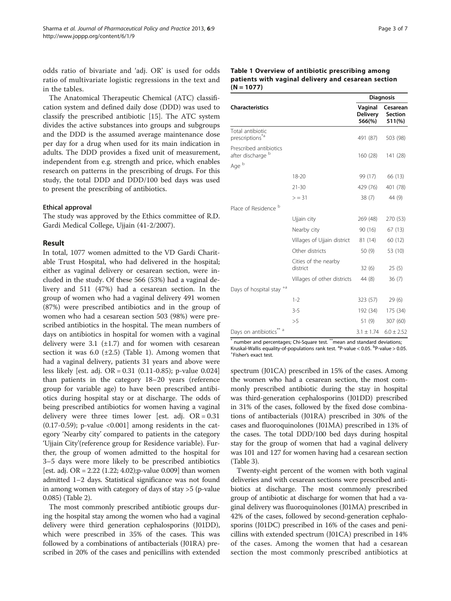odds ratio of bivariate and 'adj. OR' is used for odds ratio of multivariate logistic regressions in the text and in the tables.

The Anatomical Therapeutic Chemical (ATC) classification system and defined daily dose (DDD) was used to classify the prescribed antibiotic [\[15](#page-6-0)]. The ATC system divides the active substances into groups and subgroups and the DDD is the assumed average maintenance dose per day for a drug when used for its main indication in adults. The DDD provides a fixed unit of measurement, independent from e.g. strength and price, which enables research on patterns in the prescribing of drugs. For this study, the total DDD and DDD/100 bed days was used to present the prescribing of antibiotics.

# Ethical approval

The study was approved by the Ethics committee of R.D. Gardi Medical College, Ujjain (41-2/2007).

# Result

In total, 1077 women admitted to the VD Gardi Charitable Trust Hospital, who had delivered in the hospital; either as vaginal delivery or cesarean section, were included in the study. Of these 566 (53%) had a vaginal delivery and 511 (47%) had a cesarean section. In the group of women who had a vaginal delivery 491 women (87%) were prescribed antibiotics and in the group of women who had a cesarean section 503 (98%) were prescribed antibiotics in the hospital. The mean numbers of days on antibiotics in hospital for women with a vaginal delivery were 3.1  $(\pm 1.7)$  and for women with cesarean section it was  $6.0$  ( $\pm 2.5$ ) (Table 1). Among women that had a vaginal delivery, patients 31 years and above were less likely [est. adj. OR = 0.31 (0.11-0.85); p-value 0.024] than patients in the category 18–20 years (reference group for variable age) to have been prescribed antibiotics during hospital stay or at discharge. The odds of being prescribed antibiotics for women having a vaginal delivery were three times lower [est. adj.  $OR = 0.31$  $(0.17-0.59)$ ; p-value <0.001] among residents in the category 'Nearby city' compared to patients in the category 'Ujjain City'(reference group for Residence variable). Further, the group of women admitted to the hospital for 3–5 days were more likely to be prescribed antibiotics [est. adj. OR =  $2.22$  (1.22; 4.02); p-value 0.009] than women admitted 1–2 days. Statistical significance was not found in among women with category of days of stay >5 (p-value 0.085) (Table [2](#page-3-0)).

The most commonly prescribed antibiotic groups during the hospital stay among the women who had a vaginal delivery were third generation cephalosporins (J01DD), which were prescribed in 35% of the cases. This was followed by a combinations of antibacterials (J01RA) prescribed in 20% of the cases and penicillins with extended

#### Table 1 Overview of antibiotic prescribing among patients with vaginal delivery and cesarean section  $(N = 1077)$

|                                                 |                                  | <b>Diagnosis</b>                     |                               |  |
|-------------------------------------------------|----------------------------------|--------------------------------------|-------------------------------|--|
| <b>Characteristics</b>                          |                                  | Vaginal<br><b>Delivery</b><br>566(%) | Cesarean<br>Section<br>511(%) |  |
| Total antibiotic<br>prescriptions <sup>*a</sup> |                                  | 491 (87)                             | 503 (98)                      |  |
| Prescribed antibiotics<br>after discharge b     |                                  | 160 (28)                             | 141(28)                       |  |
| Age b                                           |                                  |                                      |                               |  |
|                                                 | 18-20                            | 99 (17)                              | 66 (13)                       |  |
|                                                 | $21 - 30$                        | 429 (76)                             | 401 (78)                      |  |
|                                                 | $>$ = 31                         | 38(7)                                | 44 (9)                        |  |
| Place of Residence b                            |                                  |                                      |                               |  |
|                                                 | Ujjain city                      | 269 (48)                             | 270 (53)                      |  |
|                                                 | Nearby city                      | 90 (16)                              | 67(13)                        |  |
|                                                 | Villages of Ujjain district      | 81 (14)                              | 60 (12)                       |  |
|                                                 | Other districts                  | 50(9)                                | 53 (10)                       |  |
|                                                 | Cities of the nearby<br>district | 32(6)                                | 25(5)                         |  |
|                                                 | Villages of other districts      | 44 (8)                               | 36(7)                         |  |
| Days of hospital stay <sup>+a</sup>             |                                  |                                      |                               |  |
|                                                 | $1 - 2$                          | 323 (57)                             | 29(6)                         |  |
|                                                 | $3 - 5$                          | 192 (34)                             | 175 (34)                      |  |
|                                                 | >5                               | 51 (9)                               | 307 (60)                      |  |
| Days on antibiotics** a                         |                                  | $3.1 \pm 1.74$                       | $6.0 \pm 2.52$                |  |

number and percentages; Chi-Square test. \*\*mean and standard deviations; Kruskal-Wallis equality-of-populations rank test. <sup>a</sup> P-value < 0.05. <sup>b</sup> P-value > 0.05.  $\frac{1}{2}$ Fisher's exact test.

spectrum (J01CA) prescribed in 15% of the cases. Among the women who had a cesarean section, the most commonly prescribed antibiotic during the stay in hospital was third-generation cephalosporins (J01DD) prescribed in 31% of the cases, followed by the fixed dose combinations of antibacterials (J01RA) prescribed in 30% of the cases and fluoroquinolones (J01MA) prescribed in 13% of the cases. The total DDD/100 bed days during hospital stay for the group of women that had a vaginal delivery was 101 and 127 for women having had a cesarean section (Table [3](#page-4-0)).

Twenty-eight percent of the women with both vaginal deliveries and with cesarean sections were prescribed antibiotics at discharge. The most commonly prescribed group of antibiotic at discharge for women that had a vaginal delivery was fluoroquinolones (J01MA) prescribed in 42% of the cases, followed by second-generation cephalosporins (J01DC) prescribed in 16% of the cases and penicillins with extended spectrum (J01CA) prescribed in 14% of the cases. Among the women that had a cesarean section the most commonly prescribed antibiotics at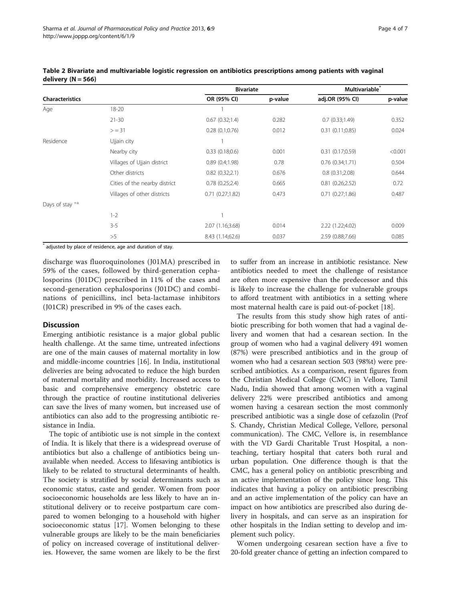|                        |                               | <b>Bivariate</b> |         | Multivariable <sup>®</sup> |         |
|------------------------|-------------------------------|------------------|---------|----------------------------|---------|
| <b>Characteristics</b> |                               | OR (95% CI)      | p-value | adj.OR (95% CI)            | p-value |
| Age                    | $18 - 20$                     |                  |         |                            |         |
|                        | $21 - 30$                     | 0.67(0.32;1.4)   | 0.282   | 0.7(0.33;1.49)             | 0.352   |
|                        | $>$ = 31                      | 0.28(0.1;0.76)   | 0.012   | 0.31(0.11;0.85)            | 0.024   |
| Residence              | Ujjain city                   |                  |         |                            |         |
|                        | Nearby city                   | 0.33(0.18;0.6)   | 0.001   | 0.31(0.17;0.59)            | < 0.001 |
|                        | Villages of Ujjain district   | 0.89(0.4;1.98)   | 0.78    | 0.76(0.34;1.71)            | 0.504   |
|                        | Other districts               | 0.82(0.32;2.1)   | 0.676   | 0.8(0.31;2.08)             | 0.644   |
|                        | Cities of the nearby district | 0.78(0.25;2.4)   | 0.665   | 0.81(0.26;2.52)            | 0.72    |
|                        | Villages of other districts   | 0.71(0.27;1.82)  | 0.473   | 0.71(0.27;1.86)            | 0.487   |
| Days of stay $+a$      |                               |                  |         |                            |         |
|                        | $1 - 2$                       |                  |         |                            |         |
|                        | $3 - 5$                       | 2.07 (1.16;3.68) | 0.014   | 2.22 (1.22;4.02)           | 0.009   |
|                        | >5                            | 8.43 (1.14;62.6) | 0.037   | 2.59 (0.88;7.66)           | 0.085   |

<span id="page-3-0"></span>Table 2 Bivariate and multivariable logistic regression on antibiotics prescriptions among patients with vaginal delivery  $(N = 566)$ 

\* adjusted by place of residence, age and duration of stay.

discharge was fluoroquinolones (J01MA) prescribed in 59% of the cases, followed by third-generation cephalosporins (J01DC) prescribed in 11% of the cases and second-generation cephalosporins (J01DC) and combinations of penicillins, incl beta-lactamase inhibitors (J01CR) prescribed in 9% of the cases each.

#### **Discussion**

Emerging antibiotic resistance is a major global public health challenge. At the same time, untreated infections are one of the main causes of maternal mortality in low and middle-income countries [\[16](#page-6-0)]. In India, institutional deliveries are being advocated to reduce the high burden of maternal mortality and morbidity. Increased access to basic and comprehensive emergency obstetric care through the practice of routine institutional deliveries can save the lives of many women, but increased use of antibiotics can also add to the progressing antibiotic resistance in India.

The topic of antibiotic use is not simple in the context of India. It is likely that there is a widespread overuse of antibiotics but also a challenge of antibiotics being unavailable when needed. Access to lifesaving antibiotics is likely to be related to structural determinants of health. The society is stratified by social determinants such as economic status, caste and gender. Women from poor socioeconomic households are less likely to have an institutional delivery or to receive postpartum care compared to women belonging to a household with higher socioeconomic status [[17\]](#page-6-0). Women belonging to these vulnerable groups are likely to be the main beneficiaries of policy on increased coverage of institutional deliveries. However, the same women are likely to be the first

to suffer from an increase in antibiotic resistance. New antibiotics needed to meet the challenge of resistance are often more expensive than the predecessor and this is likely to increase the challenge for vulnerable groups to afford treatment with antibiotics in a setting where most maternal health care is paid out-of-pocket [\[18](#page-6-0)].

The results from this study show high rates of antibiotic prescribing for both women that had a vaginal delivery and women that had a cesarean section. In the group of women who had a vaginal delivery 491 women (87%) were prescribed antibiotics and in the group of women who had a cesarean section 503 (98%t) were prescribed antibiotics. As a comparison, resent figures from the Christian Medical College (CMC) in Vellore, Tamil Nadu, India showed that among women with a vaginal delivery 22% were prescribed antibiotics and among women having a cesarean section the most commonly prescribed antibiotic was a single dose of cefazolin (Prof S. Chandy, Christian Medical College, Vellore, personal communication). The CMC, Vellore is, in resemblance with the VD Gardi Charitable Trust Hospital, a nonteaching, tertiary hospital that caters both rural and urban population. One difference though is that the CMC, has a general policy on antibiotic prescribing and an active implementation of the policy since long. This indicates that having a policy on antibiotic prescribing and an active implementation of the policy can have an impact on how antibiotics are prescribed also during delivery in hospitals, and can serve as an inspiration for other hospitals in the Indian setting to develop and implement such policy.

Women undergoing cesarean section have a five to 20-fold greater chance of getting an infection compared to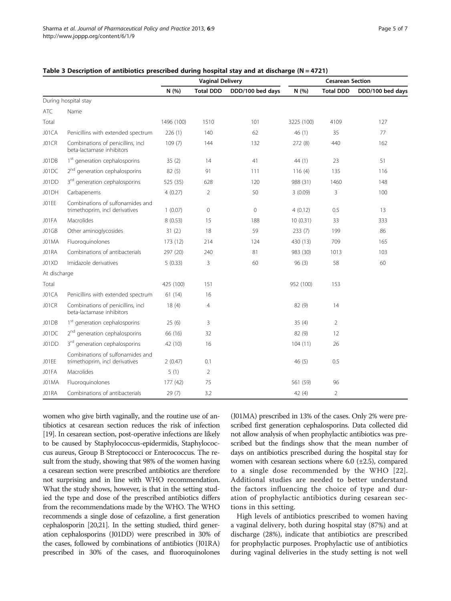|              |                                                                    | <b>Vaginal Delivery</b> |                  |                  | <b>Cesarean Section</b> |                  |                  |
|--------------|--------------------------------------------------------------------|-------------------------|------------------|------------------|-------------------------|------------------|------------------|
|              |                                                                    | N (%)                   | <b>Total DDD</b> | DDD/100 bed days | N(% )                   | <b>Total DDD</b> | DDD/100 bed days |
|              | During hospital stay                                               |                         |                  |                  |                         |                  |                  |
| ATC          | Name                                                               |                         |                  |                  |                         |                  |                  |
| Total        |                                                                    | 1496 (100)              | 1510             | 101              | 3225 (100)              | 4109             | 127              |
| J01CA        | Penicillins with extended spectrum                                 | 226(1)                  | 140              | 62               | 46(1)                   | 35               | 77               |
| J01CR        | Combinations of penicillins, incl<br>beta-lactamase inhibitors     | 109(7)                  | 144              | 132              | 272 (8)                 | 440              | 162              |
| J01DB        | 1 <sup>st</sup> generation cephalosporins                          | 35(2)                   | 14               | 41               | 44(1)                   | 23               | 51               |
| J01DC        | 2 <sup>nd</sup> generation cephalosporins                          | 82(5)                   | 91               | 111              | 116(4)                  | 135              | 116              |
| J01DD        | 3 <sup>rd</sup> generation cephalosporins                          | 525 (35)                | 628              | 120              | 988 (31)                | 1460             | 148              |
| J01DH        | Carbapenems                                                        | 4(0.27)                 | 2                | 50               | 3(0.09)                 | 3                | 100              |
| JO1EE        | Combinations of sulfonamides and<br>trimethoprim, incl derivatives | 1(0.07)                 | $\mathbf 0$      | $\circ$          | 4(0.12)                 | 0.5              | 13               |
| JO1FA        | Macrolides                                                         | 8(0.53)                 | 15               | 188              | 10(0.31)                | 33               | 333              |
| J01GB        | Other aminoglycosides                                              | 31(2.)                  | 18               | 59               | 233(7)                  | 199              | 86               |
| J01MA        | Fluoroguinolones                                                   | 173(12)                 | 214              | 124              | 430 (13)                | 709              | 165              |
| J01RA        | Combinations of antibacterials                                     | 297 (20)                | 240              | 81               | 983 (30)                | 1013             | 103              |
| J01XD        | Imidazole derivatives                                              | 5(0.33)                 | 3                | 60               | 96(3)                   | 58               | 60               |
| At discharge |                                                                    |                         |                  |                  |                         |                  |                  |
| Total        |                                                                    | 425 (100)               | 151              |                  | 952 (100)               | 153              |                  |
| J01CA        | Penicillins with extended spectrum                                 | 61(14)                  | 16               |                  |                         |                  |                  |
| J01CR        | Combinations of penicillins, incl<br>beta-lactamase inhibitors     | 18(4)                   | $\overline{4}$   |                  | 82 (9)                  | 14               |                  |
| J01DB        | 1 <sup>st</sup> generation cephalosporins                          | 25(6)                   | 3                |                  | 35(4)                   | $\overline{2}$   |                  |
| J01DC        | 2 <sup>nd</sup> generation cephalosporins                          | 66 (16)                 | 32               |                  | 82 (9)                  | 12               |                  |
| J01DD        | 3 <sup>rd</sup> generation cephalosporins                          | 42 (10)                 | 16               |                  | 104(11)                 | 26               |                  |
| JO1EE        | Combinations of sulfonamides and<br>trimethoprim, incl derivatives | 2(0.47)                 | 0.1              |                  | 46(5)                   | 0.5              |                  |
| J01FA        | Macrolides                                                         | 5(1)                    | $\overline{2}$   |                  |                         |                  |                  |
| J01MA        | Fluoroguinolones                                                   | 177(42)                 | 75               |                  | 561 (59)                | 96               |                  |
| J01RA        | Combinations of antibacterials                                     | 29(7)                   | 3.2              |                  | 42(4)                   | $\overline{2}$   |                  |

## <span id="page-4-0"></span>Table 3 Description of antibiotics prescribed during hospital stay and at discharge ( $N = 4721$ )

women who give birth vaginally, and the routine use of antibiotics at cesarean section reduces the risk of infection [[19](#page-6-0)]. In cesarean section, post-operative infections are likely to be caused by Staphylococcus-epidermidis, Staphylococcus aureus, Group B Streptococci or Enterococcus. The result from the study, showing that 98% of the women having a cesarean section were prescribed antibiotics are therefore not surprising and in line with WHO recommendation. What the study shows, however, is that in the setting studied the type and dose of the prescribed antibiotics differs from the recommendations made by the WHO. The WHO recommends a single dose of cefazoline, a first generation cephalosporin [[20,21\]](#page-6-0). In the setting studied, third generation cephalosporins (J01DD) were prescribed in 30% of the cases, followed by combinations of antibiotics (J01RA) prescribed in 30% of the cases, and fluoroquinolones

(J01MA) prescribed in 13% of the cases. Only 2% were prescribed first generation cephalosporins. Data collected did not allow analysis of when prophylactic antibiotics was prescribed but the findings show that the mean number of days on antibiotics prescribed during the hospital stay for women with cesarean sections where  $6.0$  ( $\pm$ 2.5), compared to a single dose recommended by the WHO [[22](#page-6-0)]. Additional studies are needed to better understand the factors influencing the choice of type and duration of prophylactic antibiotics during cesarean sections in this setting.

High levels of antibiotics prescribed to women having a vaginal delivery, both during hospital stay (87%) and at discharge (28%), indicate that antibiotics are prescribed for prophylactic purposes. Prophylactic use of antibiotics during vaginal deliveries in the study setting is not well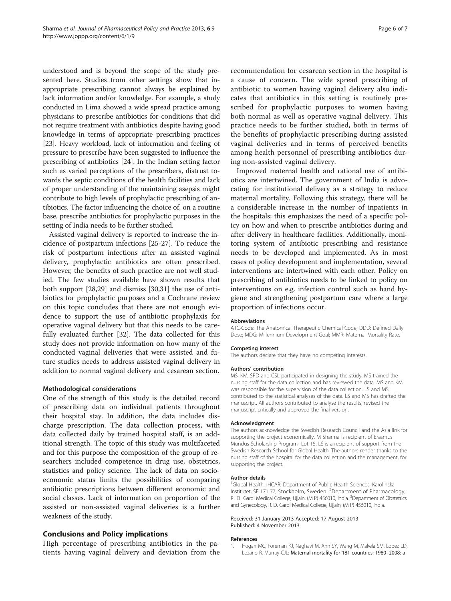<span id="page-5-0"></span>understood and is beyond the scope of the study presented here. Studies from other settings show that inappropriate prescribing cannot always be explained by lack information and/or knowledge. For example, a study conducted in Lima showed a wide spread practice among physicians to prescribe antibiotics for conditions that did not require treatment with antibiotics despite having good knowledge in terms of appropriate prescribing practices [[23](#page-6-0)]. Heavy workload, lack of information and feeling of pressure to prescribe have been suggested to influence the prescribing of antibiotics [\[24\]](#page-6-0). In the Indian setting factor such as varied perceptions of the prescribers, distrust towards the septic conditions of the health facilities and lack of proper understanding of the maintaining asepsis might contribute to high levels of prophylactic prescribing of antibiotics. The factor influencing the choice of, on a routine base, prescribe antibiotics for prophylactic purposes in the setting of India needs to be further studied.

Assisted vaginal delivery is reported to increase the incidence of postpartum infections [[25](#page-6-0)-[27\]](#page-6-0). To reduce the risk of postpartum infections after an assisted vaginal delivery, prophylactic antibiotics are often prescribed. However, the benefits of such practice are not well studied. The few studies available have shown results that both support [[28,29](#page-6-0)] and dismiss [\[30,31\]](#page-6-0) the use of antibiotics for prophylactic purposes and a Cochrane review on this topic concludes that there are not enough evidence to support the use of antibiotic prophylaxis for operative vaginal delivery but that this needs to be carefully evaluated further [\[32](#page-6-0)]. The data collected for this study does not provide information on how many of the conducted vaginal deliveries that were assisted and future studies needs to address assisted vaginal delivery in addition to normal vaginal delivery and cesarean section.

#### Methodological considerations

One of the strength of this study is the detailed record of prescribing data on individual patients throughout their hospital stay. In addition, the data includes discharge prescription. The data collection process, with data collected daily by trained hospital staff, is an additional strength. The topic of this study was multifaceted and for this purpose the composition of the group of researchers included competence in drug use, obstetrics, statistics and policy science. The lack of data on socioeconomic status limits the possibilities of comparing antibiotic prescriptions between different economic and social classes. Lack of information on proportion of the assisted or non-assisted vaginal deliveries is a further weakness of the study.

#### Conclusions and Policy implications

High percentage of prescribing antibiotics in the patients having vaginal delivery and deviation from the

recommendation for cesarean section in the hospital is a cause of concern. The wide spread prescribing of antibiotic to women having vaginal delivery also indicates that antibiotics in this setting is routinely prescribed for prophylactic purposes to women having both normal as well as operative vaginal delivery. This practice needs to be further studied, both in terms of the benefits of prophylactic prescribing during assisted vaginal deliveries and in terms of perceived benefits among health personnel of prescribing antibiotics during non-assisted vaginal delivery.

Improved maternal health and rational use of antibiotics are intertwined. The government of India is advocating for institutional delivery as a strategy to reduce maternal mortality. Following this strategy, there will be a considerable increase in the number of inpatients in the hospitals; this emphasizes the need of a specific policy on how and when to prescribe antibiotics during and after delivery in healthcare facilities. Additionally, monitoring system of antibiotic prescribing and resistance needs to be developed and implemented. As in most cases of policy development and implementation, several interventions are intertwined with each other. Policy on prescribing of antibiotics needs to be linked to policy on interventions on e.g. infection control such as hand hygiene and strengthening postpartum care where a large proportion of infections occur.

#### Abbreviations

ATC-Code: The Anatomical Therapeutic Chemical Code; DDD: Defined Daily Dose; MDG: Millennium Development Goal; MMR: Maternal Mortality Rate.

#### Competing interest

The authors declare that they have no competing interests.

#### Authors' contribution

MS, KM, SPD and CSL participated in designing the study. MS trained the nursing staff for the data collection and has reviewed the data. MS and KM was responsible for the supervision of the data collection. LS and MS contributed to the statistical analyses of the data. LS and MS has drafted the manuscript. All authors contributed to analyse the results, revised the manuscript critically and approved the final version.

#### Acknowledgment

The authors acknowledge the Swedish Research Council and the Asia link for supporting the project economically. M Sharma is recipient of Erasmus Mundus Scholarship Program- Lot 15. LS is a recipient of support from the Swedish Research School for Global Health. The authors render thanks to the nursing staff of the hospital for the data collection and the management, for supporting the project.

#### Author details

<sup>1</sup>Global Health, IHCAR, Department of Public Health Sciences, Karolinska Institutet, SE 171 77, Stockholm, Sweden. <sup>2</sup>Department of Pharmacology, R. D. Gardi Medical College, Ujjain, (M P) 456010, India. <sup>3</sup>Department of Obstetrics and Gynecology, R. D. Gardi Medical College, Ujjain, (M P) 456010, India.

#### Received: 31 January 2013 Accepted: 17 August 2013 Published: 4 November 2013

#### References

1. Hogan MC, Foreman KJ, Naghavi M, Ahn SY, Wang M, Makela SM, Lopez LD, Lozano R, Murray CJL: Maternal mortality for 181 countries: 1980–2008: a